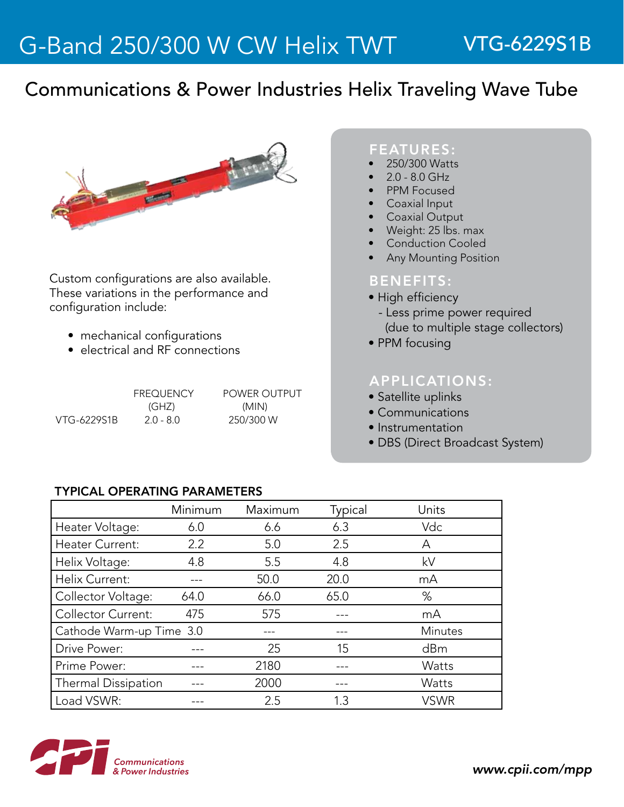## Communications & Power Industries Helix Traveling Wave Tube



Custom configurations are also available. These variations in the performance and configuration include:

- mechanical configurations
- electrical and RF connections

|             | <b>FREQUENCY</b> | <b>POWER OUTPUT</b> |  |
|-------------|------------------|---------------------|--|
|             | (GHZ)            | (MIN)               |  |
| VTG-6229S1B | $2.0 - 8.0$      | 250/300 W           |  |

#### FEATURES:

- 250/300 Watts
- $2.0 8.0$  GHz
- PPM Focused
- **Coaxial Input**
- **Coaxial Output**
- Weight: 25 lbs. max
- **Conduction Cooled**
- **Any Mounting Position**

### BENEFITS:

- High efficiency
- Less prime power required (due to multiple stage collectors)
- PPM focusing

### APPLICATIONS:

- Satellite uplinks
- Communications
- Instrumentation
- DBS (Direct Broadcast System)

#### TyPICAL OPERATING PARAMETERS

|                           | Minimum | Maximum | Typical | Units          |
|---------------------------|---------|---------|---------|----------------|
| Heater Voltage:           | 6.0     | 6.6     | 6.3     | Vdc            |
| Heater Current:           | 2.2     | 5.0     | 2.5     | А              |
| Helix Voltage:            | 4.8     | 5.5     | 4.8     | kV             |
| Helix Current:            |         | 50.0    | 20.0    | mA             |
| Collector Voltage:        | 64.0    | 66.0    | 65.0    | %              |
| <b>Collector Current:</b> | 475     | 575     |         | mA             |
| Cathode Warm-up Time 3.0  |         | ---     |         | <b>Minutes</b> |
| Drive Power:              |         | 25      | 15      | dBm            |
| Prime Power:              |         | 2180    |         | Watts          |
| Thermal Dissipation       |         | 2000    |         | Watts          |
| Load VSWR:                |         | 2.5     | 13      | <b>VSWR</b>    |